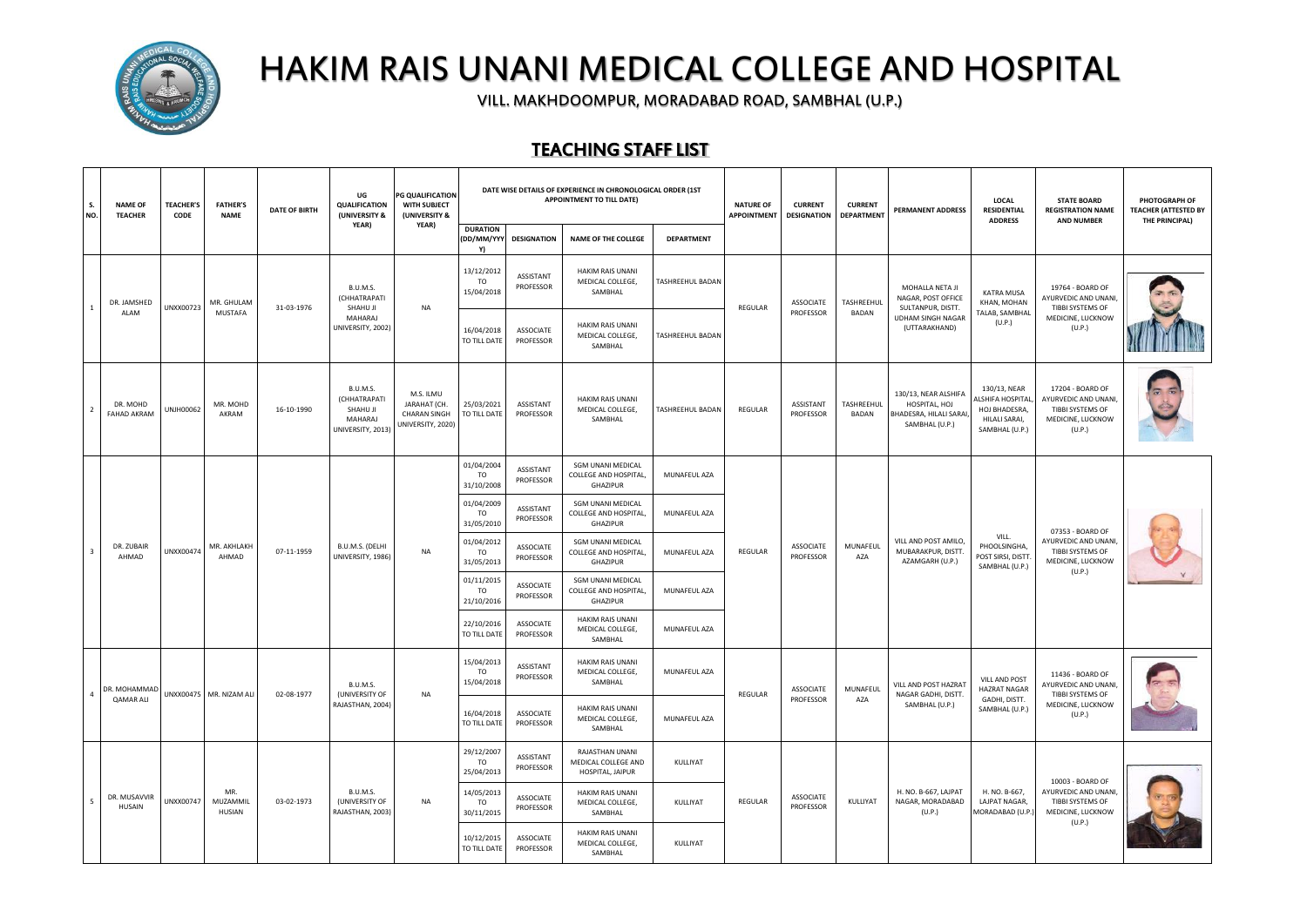

## HAKIM RAIS UNANI MEDICAL COLLEGE AND HOSPITAL

VILL. MAKHDOOMPUR, MORADABAD ROAD, SAMBHAL (U.P.)

## TEACHING STAFF LIST

| S.<br>NO. | <b>NAME OF</b><br><b>TEACHER</b> | <b>TEACHER'S</b><br>CODE | <b>FATHER'S</b><br><b>NAME</b> | <b>DATE OF BIRTH</b> | UG<br><b>QUALIFICATION</b><br>(UNIVERSITY &                          | PG QUALIFICATION<br>WITH SUBJECT<br>(UNIVERSITY &                     | DATE WISE DETAILS OF EXPERIENCE IN CHRONOLOGICAL ORDER (1ST<br>APPOINTMENT TO TILL DATE) |                                                 |                                                                        | <b>NATURE OF</b><br><b>APPOINTMENT</b> | <b>CURRENT</b><br><b>DESIGNATION</b><br><b>DEPARTMENT</b> |                        | PERMANENT ADDRESS          | LOCAL<br><b>RESIDENTIAL</b><br><b>ADDRESS</b>                                     | <b>STATE BOARD</b><br><b>REGISTRATION NAME</b><br><b>AND NUMBER</b>                 | PHOTOGRAPH OF<br><b>TEACHER (ATTESTED BY</b><br>THE PRINCIPAL)                              |  |
|-----------|----------------------------------|--------------------------|--------------------------------|----------------------|----------------------------------------------------------------------|-----------------------------------------------------------------------|------------------------------------------------------------------------------------------|-------------------------------------------------|------------------------------------------------------------------------|----------------------------------------|-----------------------------------------------------------|------------------------|----------------------------|-----------------------------------------------------------------------------------|-------------------------------------------------------------------------------------|---------------------------------------------------------------------------------------------|--|
|           |                                  |                          |                                |                      | YEAR)                                                                | YEAR)                                                                 | <b>DURATION</b><br>(DD/MM/YYY<br>Y)                                                      | <b>DESIGNATION</b>                              | <b>NAME OF THE COLLEGE</b>                                             | <b>DEPARTMENT</b>                      |                                                           |                        |                            |                                                                                   |                                                                                     |                                                                                             |  |
|           | DR. JAMSHED                      | UNXX00723                | MR. GHULAM                     | 31-03-1976           | <b>B.U.M.S.</b><br>(CHHATRAPATI<br>SHAHU JI                          | <b>NA</b>                                                             | 13/12/2012<br>TO<br>15/04/2018                                                           | ASSISTANT<br>PROFESSOR                          | <b>HAKIM RAIS UNANI</b><br>MEDICAL COLLEGE,<br>SAMBHAL                 | TASHREEHUL BADAN                       | REGULAR                                                   | ASSOCIATE              | TASHREEHUL                 | MOHALLA NETA JI<br>NAGAR, POST OFFICE<br>SULTANPUR, DISTT.                        | KATRA MUSA<br>KHAN, MOHAN                                                           | 19764 - BOARD OF<br>AYURVEDIC AND UNANI,<br>TIBBI SYSTEMS OF                                |  |
|           | ALAM                             |                          | MUSTAFA                        |                      | MAHARAJ<br>UNIVERSITY, 2002)                                         |                                                                       | 16/04/2018<br>TO TILL DATE                                                               | <b>ASSOCIATE</b><br>PROFESSOR                   | HAKIM RAIS UNANI<br>MEDICAL COLLEGE,<br>SAMBHAL                        | TASHREEHUL BADAN                       |                                                           | PROFESSOR              | BADAN                      | <b>UDHAM SINGH NAGAR</b><br>(UTTARAKHAND)                                         | TALAB, SAMBHAL<br>(U.P.)                                                            | MEDICINE, LUCKNOW<br>(U.P.)                                                                 |  |
|           | DR. MOHD<br><b>FAHAD AKRAM</b>   | UNJH00062                | MR. MOHD<br>AKRAM              | 16-10-1990           | B.U.M.S.<br>(CHHATRAPATI<br>SHAHU JI<br>MAHARAJ<br>UNIVERSITY, 2013) | M.S. ILMU<br>JARAHAT (CH.<br><b>CHARAN SINGH</b><br>UNIVERSITY, 2020) | 25/03/2021<br>TO TILL DATE                                                               | ASSISTANT<br>PROFESSOR                          | <b>HAKIM RAIS UNANI</b><br>MEDICAL COLLEGE,<br>SAMBHAL                 | TASHREEHUL BADAN                       | REGULAR                                                   | ASSISTANT<br>PROFESSOR | TASHREEHUL<br><b>BADAN</b> | 130/13, NEAR ALSHIFA<br>HOSPITAL, HOJ<br>BHADESRA, HILALI SARAI<br>SAMBHAL (U.P.) | 130/13, NEAR<br>LSHIFA HOSPITAL<br>HOJ BHADESRA,<br>HILALI SARAI,<br>SAMBHAL (U.P.) | 17204 - BOARD OF<br>AYURVEDIC AND UNANI,<br>TIBBI SYSTEMS OF<br>MEDICINE, LUCKNOW<br>(U.P.) |  |
|           | DR. ZUBAIR<br>AHMAD              |                          |                                |                      |                                                                      |                                                                       | 01/04/2004<br>TO.<br>31/10/2008                                                          | ASSISTANT<br>PROFESSOR                          | SGM UNANI MEDICAL<br>COLLEGE AND HOSPITAL,<br><b>GHAZIPUR</b>          | MUNAFEUL AZA                           |                                                           |                        |                            | VILL AND POST AMILO,<br>MUBARAKPUR, DISTT.<br>AZAMGARH (U.P.)                     |                                                                                     |                                                                                             |  |
|           |                                  |                          |                                |                      |                                                                      |                                                                       | 01/04/2009<br>TO.<br>31/05/2010                                                          | <b>ASSISTANT</b><br>PROFESSOR                   | SGM UNANI MEDICAL<br>COLLEGE AND HOSPITAL,<br>GHAZIPUR                 | MUNAFEUL AZA                           |                                                           |                        |                            |                                                                                   |                                                                                     |                                                                                             |  |
|           |                                  | UNXX00474                | MR. AKHLAKH<br>AHMAD           | 07-11-1959           | B.U.M.S. (DELHI<br>UNIVERSITY, 1986)                                 | <b>NA</b>                                                             | 01/04/2012<br>TO<br>31/05/2013                                                           | <b>ASSOCIATE</b><br>PROFESSOR                   | SGM UNANI MEDICAL<br>COLLEGE AND HOSPITAL,<br>GHAZIPUR                 | MUNAFEUL AZA                           | REGULAR                                                   | ASSOCIATE<br>PROFESSOR | MUNAFEUL<br>AZA            |                                                                                   | VILL.<br>PHOOLSINGHA,<br>POST SIRSI, DISTT.<br>SAMBHAL (U.P.)                       | 07353 - BOARD OF<br>AYURVEDIC AND UNANI,<br>TIBBI SYSTEMS OF<br>MEDICINE, LUCKNOW<br>(U.P.) |  |
|           |                                  |                          |                                |                      |                                                                      |                                                                       | 01/11/2015<br>TO<br>21/10/2016                                                           | <b>ASSOCIATE</b><br>PROFESSOR                   | SGM UNANI MEDICAL<br>COLLEGE AND HOSPITAL,<br>MUNAFEUL AZA<br>GHAZIPUR |                                        |                                                           |                        |                            |                                                                                   |                                                                                     |                                                                                             |  |
|           |                                  |                          |                                |                      |                                                                      |                                                                       | 22/10/2016<br>TO TILL DATE                                                               | <b>ASSOCIATE</b><br>PROFESSOR                   | HAKIM RAIS UNANI<br>MEDICAL COLLEGE,<br>SAMBHAL                        | MUNAFEUL AZA                           |                                                           |                        |                            |                                                                                   |                                                                                     |                                                                                             |  |
|           | DR. MOHAMMAD                     |                          |                                |                      | B.U.M.S.                                                             |                                                                       | 15/04/2013<br><b>TO</b><br>15/04/2018                                                    | ASSISTANT<br>PROFESSOR                          | <b>HAKIM RAIS UNANI</b><br>MEDICAL COLLEGE,<br>SAMBHAL                 | MUNAFEUL AZA                           |                                                           | ASSOCIATE              | MUNAFEUL                   | VILL AND POST HAZRAT                                                              | VILL AND POST<br><b>HAZRAT NAGAR</b>                                                | 11436 - BOARD OF<br>AYURVEDIC AND UNANI,                                                    |  |
|           | <b>QAMAR ALI</b>                 |                          | UNXX00475 MR. NIZAM ALI        | 02-08-1977           | (UNIVERSITY OF<br>RAJASTHAN, 2004)                                   | <b>NA</b>                                                             | 16/04/2018<br>TO TILL DATE                                                               | <b>ASSOCIATE</b><br>PROFESSOR                   | <b>HAKIM RAIS UNANI</b><br>MEDICAL COLLEGE,<br>SAMBHAL                 | MUNAFEUL AZA                           | REGULAR                                                   | PROFESSOR              | AZA                        | NAGAR GADHI, DISTT.<br>SAMBHAL (U.P.)                                             | GADHI, DISTT.<br>SAMBHAL (U.P.)                                                     | TIBBI SYSTEMS OF<br>MEDICINE, LUCKNOW<br>(U.P.)                                             |  |
|           |                                  |                          |                                |                      |                                                                      |                                                                       | 29/12/2007<br><b>TO</b><br>25/04/2013                                                    | ASSISTANT<br>PROFESSOR                          | RAJASTHAN UNANI<br>MEDICAL COLLEGE AND<br>HOSPITAL, JAIPUR             | KULLIYAT                               |                                                           |                        |                            |                                                                                   |                                                                                     | 10003 - BOARD OF                                                                            |  |
|           | DR. MUSAVVIR<br>HUSAIN           | UNXX00747                | MR<br>MUZAMMIL<br>HUSIAN       | 03-02-1973           | B.U.M.S.<br>(UNIVERSITY OF<br>RAJASTHAN, 2003)                       | <b>NA</b>                                                             | 14/05/2013<br>TO<br>30/11/2015                                                           | <b>ASSOCIATE</b><br>PROFESSOR                   | HAKIM RAIS UNANI<br>MEDICAL COLLEGE,<br>SAMBHAL                        | KULLIYAT                               | REGULAR                                                   | ASSOCIATE<br>PROFESSOR | KULLIYAT                   | H. NO. B-667, LAJPAT<br>NAGAR, MORADABAD<br>(U.P.)                                | H. NO. B-667,<br>LAJPAT NAGAR,<br>MORADABAD (U.P.                                   | AYURVEDIC AND UNANI,<br>TIBBI SYSTEMS OF<br>MEDICINE, LUCKNOW                               |  |
|           |                                  |                          |                                |                      |                                                                      | 10/12/2015<br>TO TILL DATE                                            | <b>ASSOCIATE</b><br>PROFESSOR                                                            | HAKIM RAIS UNANI<br>MEDICAL COLLEGE,<br>SAMBHAL | KULLIYAT                                                               |                                        |                                                           |                        |                            |                                                                                   | (U.P.)                                                                              |                                                                                             |  |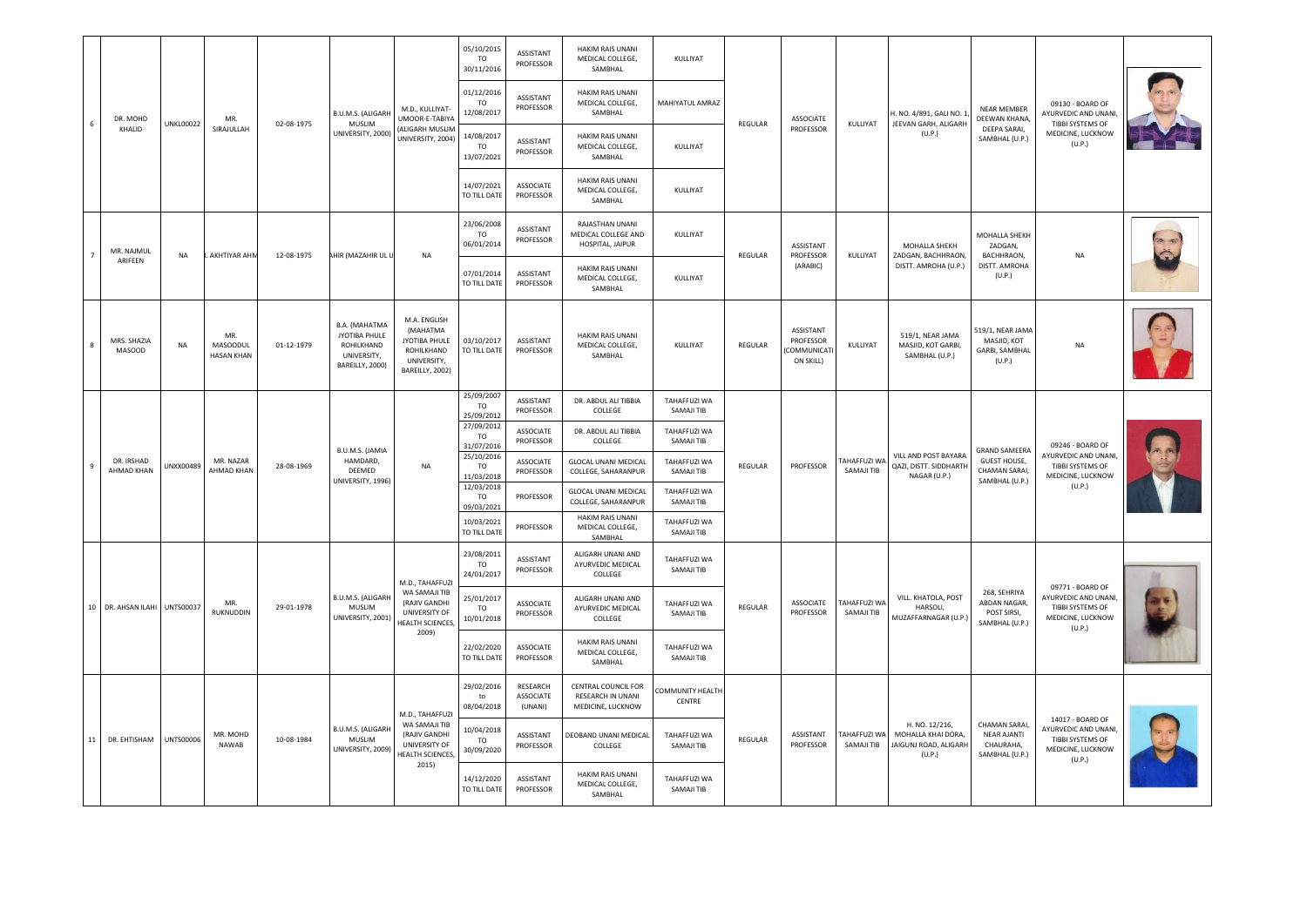|    |                              |                  |                                             |            |                                                                                |                                                                                                  | 05/10/2015<br>TO<br>30/11/2016        | <b>ASSISTANT</b><br>PROFESSOR           | <b>HAKIM RAIS UNANI</b><br>MEDICAL COLLEGE,<br>SAMBHAL                 | KULLIYAT                   |         |                                                   |                                                    |                                                                         |                                                                    |                                                                                            |  |
|----|------------------------------|------------------|---------------------------------------------|------------|--------------------------------------------------------------------------------|--------------------------------------------------------------------------------------------------|---------------------------------------|-----------------------------------------|------------------------------------------------------------------------|----------------------------|---------|---------------------------------------------------|----------------------------------------------------|-------------------------------------------------------------------------|--------------------------------------------------------------------|--------------------------------------------------------------------------------------------|--|
|    | DR. MOHD                     | UNKL00022        | MR                                          | 02-08-1975 | B.U.M.S. (ALIGARH<br>MUSLIM                                                    | M.D., KULLIYAT-<br>UMOOR-E-TABIYA                                                                | 01/12/2016<br>TO<br>12/08/2017        | ASSISTANT<br>PROFESSOR                  | <b>HAKIM RAIS UNANI</b><br>MEDICAL COLLEGE,<br>SAMBHAL                 | MAHIYATUL AMRAZ            | REGULAR | <b>ASSOCIATE</b>                                  | KULLIYAT                                           | I. NO. 4/891, GALI NO. 1<br>JEEVAN GARH, ALIGARH                        | <b>NEAR MEMBER</b><br>DEEWAN KHANA,                                | 09130 - BOARD OF<br>AYURVEDIC AND UNANI<br>TIBBI SYSTEMS OF                                |  |
|    | KHALID                       |                  | SIRAJULLAH                                  |            | UNIVERSITY, 2000)                                                              | <b>ALIGARH MUSLIM</b><br>UNIVERSITY, 2004)                                                       | 14/08/2017<br><b>TO</b><br>13/07/2021 | ASSISTANT<br>PROFESSOR                  | HAKIM RAIS UNANI<br>MEDICAL COLLEGE,<br>SAMBHAL                        | KULLIYAT                   |         | PROFESSOR                                         |                                                    | (U.P.)                                                                  | DEEPA SARAI,<br>SAMBHAL (U.P.)                                     | MEDICINE, LUCKNOW<br>(U.P.)                                                                |  |
|    |                              |                  |                                             |            |                                                                                |                                                                                                  | 14/07/2021<br>TO TILL DATE            | ASSOCIATE<br>PROFESSOR                  | HAKIM RAIS UNANI<br>MEDICAL COLLEGE,<br>SAMBHAL                        | KULLIYAT                   |         |                                                   |                                                    |                                                                         |                                                                    |                                                                                            |  |
|    | MR. NAJMUL                   | NA               | AKHTIYAR AHN                                | 12-08-1975 | HIR (MAZAHIR UL U                                                              | <b>NA</b>                                                                                        | 23/06/2008<br><b>TO</b><br>06/01/2014 | <b>ASSISTANT</b><br>PROFESSOR           | RAJASTHAN UNANI<br>MEDICAL COLLEGE AND<br>HOSPITAL, JAIPUR             | KULLIYAT                   | REGULAR | ASSISTANT<br>PROFESSOR                            | KULLIYAT                                           | MOHALLA SHEKH<br>ZADGAN, BACHHRAON,                                     | MOHALLA SHEKH<br>ZADGAN,<br>BACHHRAON,                             | <b>NA</b>                                                                                  |  |
|    | ARIFEEN                      |                  |                                             |            |                                                                                |                                                                                                  | 07/01/2014<br>TO TILL DATE            | ASSISTANT<br>PROFESSOR                  | HAKIM RAIS UNANI<br>MEDICAL COLLEGE,<br>SAMBHAL                        | KULLIYAT                   |         | (ARABIC)                                          |                                                    | DISTT. AMROHA (U.P.)                                                    | DISTT. AMROHA<br>(U.P.)                                            |                                                                                            |  |
|    | MRS. SHAZIA<br><b>MASOOD</b> | <b>NA</b>        | MR.<br><b>MASOODUL</b><br><b>HASAN KHAN</b> | 01-12-1979 | B.A. (MAHATMA<br>JYOTIBA PHULE<br>ROHILKHAND<br>UNIVERSITY,<br>BAREILLY, 2000) | M.A. ENGLISH<br>(MAHATMA<br><b>JYOTIBA PHULE</b><br>ROHILKHAND<br>UNIVERSITY,<br>BAREILLY, 2002) | 03/10/2017<br>TO TILL DATE            | ASSISTANT<br>PROFESSOR                  | <b>HAKIM RAIS UNANI</b><br>MEDICAL COLLEGE,<br>SAMBHAL                 | KULLIYAT                   | REGULAR | ASSISTANT<br>PROFESSOR<br>COMMUNICAT<br>ON SKILL) | KULLIYAT                                           | 519/1. NEAR JAMA<br>MASJID, KOT GARBI,<br>SAMBHAL (U.P.)                | 519/1, NEAR JAMA<br>MASJID, KOT<br><b>GARBI, SAMBHAL</b><br>(U.P.) | <b>NA</b>                                                                                  |  |
|    | DR. IRSHAD<br>AHMAD KHAN     |                  |                                             |            | B.U.M.S. (JAMIA<br>HAMDARD,<br>DEEMED<br>UNIVERSITY, 1996)                     | <b>NA</b>                                                                                        | 25/09/2007<br><b>TO</b><br>25/09/2012 | ASSISTANT<br>PROFESSOR                  | DR. ABDUL ALI TIBBIA<br>COLLEGE                                        | TAHAFFUZI WA<br>SAMAJI TIB |         |                                                   |                                                    |                                                                         |                                                                    |                                                                                            |  |
|    |                              |                  |                                             |            |                                                                                |                                                                                                  | 27/09/2012<br>TO<br>31/07/2016        | ASSOCIATE<br>PROFESSOR                  | DR. ABDUL ALI TIBBIA<br>COLLEGE                                        | TAHAFFUZI WA<br>SAMAJI TIB |         |                                                   |                                                    |                                                                         | <b>GRAND SAMEERA</b>                                               | 09246 - BOARD OF                                                                           |  |
|    |                              | UNXX00489        | MR. NAZAR<br>AHMAD KHAN                     | 28-08-1969 |                                                                                |                                                                                                  | 25/10/2016<br>TO<br>11/03/2018        | <b>ASSOCIATE</b><br>PROFESSOR           | <b>GLOCAL UNANI MEDICAL</b><br>COLLEGE, SAHARANPUR                     | TAHAFFUZI WA<br>SAMAJI TIB | REGULAR | PROFESSOR                                         | VILL AND POST BAYARA<br>TAHAFFUZI W/<br>SAMAJI TIB | QAZI, DISTT. SIDDHARTH<br>NAGAR (U.P.)                                  | <b>GUEST HOUSE,</b><br>CHAMAN SARAI,<br>SAMBHAL (U.P.)             | AYURVEDIC AND UNANI,<br>TIBBI SYSTEMS OF<br>MEDICINE, LUCKNOW<br>(U.P.)                    |  |
|    |                              |                  |                                             |            |                                                                                |                                                                                                  | 12/03/2018<br><b>TO</b><br>09/03/2021 | PROFESSOR                               | GLOCAL UNANI MEDICAL<br>COLLEGE, SAHARANPUR<br><b>HAKIM RAIS UNANI</b> | TAHAFFUZI WA<br>SAMAJI TIB |         |                                                   |                                                    |                                                                         |                                                                    |                                                                                            |  |
|    |                              |                  |                                             |            |                                                                                |                                                                                                  | 10/03/2021<br>TO TILL DATE            | PROFESSOR                               | MEDICAL COLLEGE,<br>SAMBHAL                                            | TAHAFFUZI WA<br>SAMAJI TIB |         |                                                   |                                                    |                                                                         |                                                                    |                                                                                            |  |
|    |                              |                  |                                             |            |                                                                                | M.D., TAHAFFUZI                                                                                  | 23/08/2011<br>TO<br>24/01/2017        | ASSISTANT<br>PROFESSOR                  | ALIGARH UNANI AND<br>AYURVEDIC MEDICAL<br>COLLEGE                      | TAHAFFUZI WA<br>SAMAJI TIB |         |                                                   |                                                    |                                                                         |                                                                    | 09771 - BOARD OF                                                                           |  |
|    | 10 DR. AHSAN ILAHI UNTS00037 |                  | MR<br>RUKNUDDIN                             | 29-01-1978 | B.U.M.S. (ALIGARH<br><b>MUSLIM</b><br>UNIVERSITY, 2001)                        | WA SAMAJI TIB<br>(RAJIV GANDHI<br>UNIVERSITY OF<br>HEALTH SCIENCES,                              | 25/01/2017<br><b>TO</b><br>10/01/2018 | <b>ASSOCIATE</b><br>PROFESSOR           | ALIGARH UNANI AND<br>AYURVEDIC MEDICAL<br>COLLEGE                      | TAHAFFUZI WA<br>SAMAJI TIB | REGULAR | ASSOCIATE<br>PROFESSOR                            | TAHAFFUZI WA<br>SAMAJI TIB                         | VILL. KHATOLA, POST<br>HARSOLI.<br>MUZAFFARNAGAR (U.P.)                 | 268, SEHRIYA<br>ABDAN NAGAR,<br>POST SIRSI,<br>SAMBHAL (U.P.)      | AYURVEDIC AND UNANI<br><b>TIBBI SYSTEMS OF</b><br>MEDICINE, LUCKNOW<br>(U.P.)              |  |
|    |                              |                  |                                             |            |                                                                                | 2009)                                                                                            | 22/02/2020<br>TO TILL DATE            | <b>ASSOCIATE</b><br>PROFESSOR           | <b>HAKIM RAIS UNANI</b><br>MEDICAL COLLEGE,<br>SAMBHAL                 | TAHAFFUZI WA<br>SAMAJI TIB |         |                                                   |                                                    |                                                                         |                                                                    |                                                                                            |  |
|    |                              |                  |                                             |            |                                                                                | M.D., TAHAFFUZI                                                                                  | 29/02/2016<br>to<br>08/04/2018        | RESEARCH<br><b>ASSOCIATE</b><br>(UNANI) | CENTRAL COUNCIL FOR<br>RESEARCH IN UNANI<br>MEDICINE, LUCKNOW          | COMMUNITY HEALTH<br>CENTRE |         |                                                   |                                                    |                                                                         |                                                                    |                                                                                            |  |
| 11 | DR. EHTISHAM                 | <b>UNTS00006</b> | MR. MOHD<br><b>NAWAR</b>                    | 10-08-1984 | B.U.M.S. (ALIGARH<br>MUSLIM<br>UNIVERSITY, 2009)                               | WA SAMAJI TIB<br>(RAJIV GANDHI<br>UNIVERSITY OF<br><b>HEALTH SCIENCES</b><br>2015)               | 10/04/2018<br>TO<br>30/09/2020        | ASSISTANT<br>PROFESSOR                  | DEOBAND UNANI MEDICAL<br>COLLEGE                                       | TAHAFFUZI WA<br>SAMAJI TIB | REGULAR | ASSISTANT<br>PROFESSOR                            | TAHAFFUZI WA<br>SAMAJI TIB                         | H. NO. 12/216,<br>MOHALLA KHAI DORA,<br>JAIGUNJ ROAD, ALIGARH<br>(U.P.) | CHAMAN SARAI,<br><b>NEAR AJANTI</b><br>CHAURAHA,<br>SAMBHAL (U.P.) | 14017 - BOARD OF<br>AYURVEDIC AND UNANI<br>TIBBI SYSTEMS OF<br>MEDICINE, LUCKNOW<br>(U.P.) |  |
|    |                              |                  |                                             |            |                                                                                |                                                                                                  | 14/12/2020<br>TO TILL DATE            | ASSISTANT<br>PROFESSOR                  | HAKIM RAIS UNANI<br>MEDICAL COLLEGE,<br>SAMBHAL                        | TAHAFFUZI WA<br>SAMAJI TIB |         |                                                   |                                                    |                                                                         |                                                                    |                                                                                            |  |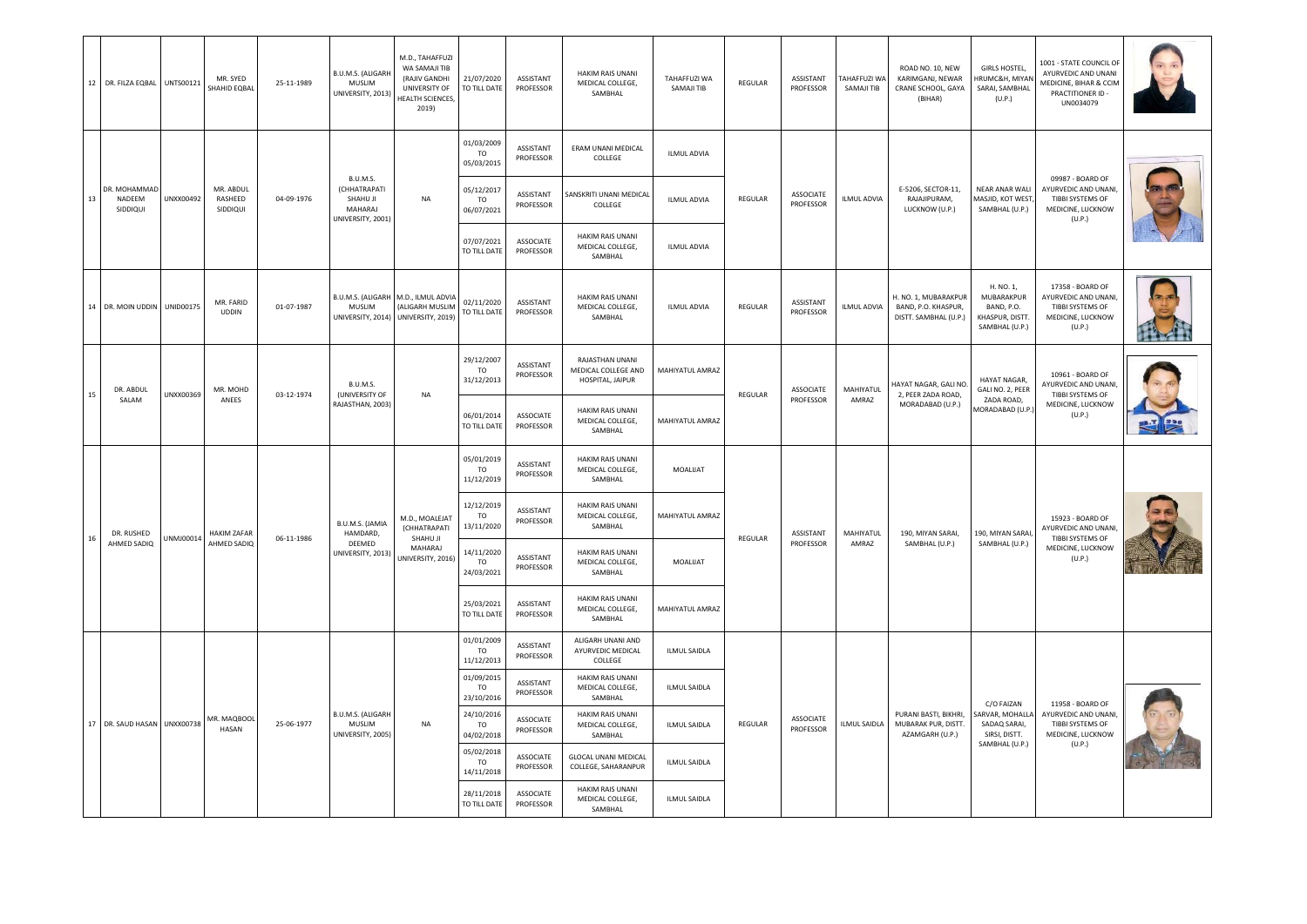|    | 12 DR. FILZA EQBAL UNTS00121       |           | MR. SYED<br>SHAHID EQBAL         | 25-11-1989 | B.U.M.S. (ALIGARH<br><b>MUSLIM</b><br>UNIVERSITY, 2013)              | M.D., TAHAFFUZI<br>WA SAMAJI TIB<br>(RAJIV GANDHI<br>UNIVERSITY OF<br>HEALTH SCIENCES,<br>2019) | 21/07/2020<br>TO TILL DATE                                                                                                                                                    | ASSISTANT<br>PROFESSOR        | HAKIM RAIS UNANI<br>MEDICAL COLLEGE,<br>SAMBHAL            | TAHAFFUZI WA<br>SAMAJI TIB  | REGULAR | ASSISTANT<br>PROFESSOR        | TAHAFFUZI WA<br>SAMAJI TIB | ROAD NO. 10, NEW<br>KARIMGANJ, NEWAR<br>CRANE SCHOOL, GAYA<br>(BIHAR) | <b>GIRLS HOSTEL,</b><br>HRUMC&H, MIYAN<br>SARAI, SAMBHAL<br>(U.P.)         | 1001 - STATE COUNCIL OF<br>AYURVEDIC AND UNANI<br>MEDICINE, BIHAR & CCIM<br>PRACTITIONER ID -<br>UN0034079 |  |
|----|------------------------------------|-----------|----------------------------------|------------|----------------------------------------------------------------------|-------------------------------------------------------------------------------------------------|-------------------------------------------------------------------------------------------------------------------------------------------------------------------------------|-------------------------------|------------------------------------------------------------|-----------------------------|---------|-------------------------------|----------------------------|-----------------------------------------------------------------------|----------------------------------------------------------------------------|------------------------------------------------------------------------------------------------------------|--|
|    |                                    |           |                                  |            |                                                                      |                                                                                                 | 01/03/2009<br><b>TO</b><br>05/03/2015                                                                                                                                         | <b>ASSISTANT</b><br>PROFESSOR | ERAM UNANI MEDICAL<br>COLLEGE                              | <b>ILMUL ADVIA</b>          |         |                               |                            |                                                                       |                                                                            |                                                                                                            |  |
| 13 | DR. MOHAMMAD<br>NADEEM<br>SIDDIQUI | UNXX00492 | MR. ABDUL<br>RASHEED<br>SIDDIQUI | 04-09-1976 | B.U.M.S.<br>(CHHATRAPATI<br>SHAHU JI<br>MAHARAI<br>UNIVERSITY, 2001) | NA                                                                                              | 05/12/2017<br><b>TO</b><br>06/07/2021                                                                                                                                         | ASSISTANT<br>PROFESSOR        | SANSKRITI UNANI MEDICAL<br>COLLEGE                         | ILMUL ADVIA                 | REGULAR | <b>ASSOCIATE</b><br>PROFESSOR | <b>ILMUL ADVIA</b>         | E-5206, SECTOR-11,<br>RAJAJIPURAM,<br>LUCKNOW (U.P.)                  | <b>NEAR ANAR WALI</b><br>MASJID, KOT WEST<br>SAMBHAL (U.P.)                | 09987 - BOARD OF<br>AYURVEDIC AND UNANI<br>TIBBI SYSTEMS OF<br>MEDICINE, LUCKNOW<br>(U.P.)                 |  |
|    |                                    |           |                                  |            |                                                                      |                                                                                                 | 07/07/2021<br>TO TILL DATE                                                                                                                                                    | <b>ASSOCIATE</b><br>PROFESSOR | <b>HAKIM RAIS UNANI</b><br>MEDICAL COLLEGE,<br>SAMBHAL     | <b>ILMUL ADVIA</b>          |         |                               |                            |                                                                       |                                                                            |                                                                                                            |  |
| 14 | DR. MOIN UDDIN UNID00175           |           | MR. FARID<br><b>UDDIN</b>        | 01-07-1987 | MUSLIM                                                               | B.U.M.S. (ALIGARH M.D., ILMUL ADVIA<br>(ALIGARH MUSLIM<br>UNIVERSITY, 2014) UNIVERSITY, 2019)   | 02/11/2020<br>TO TILL DATE                                                                                                                                                    | ASSISTANT<br>PROFESSOR        | HAKIM RAIS UNANI<br>MEDICAL COLLEGE,<br>SAMBHAL            | <b>ILMUL ADVIA</b>          | REGULAR | ASSISTANT<br>PROFESSOR        | <b>ILMUL ADVIA</b>         | H. NO. 1, MUBARAKPUR<br>BAND, P.O. KHASPUR,<br>DISTT. SAMBHAL (U.P.)  | H. NO. 1,<br>MUBARAKPUR<br>BAND, P.O.<br>KHASPUR, DISTT.<br>SAMBHAL (U.P.) | 17358 - BOARD OF<br>AYURVEDIC AND UNANI<br>TIBBI SYSTEMS OF<br>MEDICINE, LUCKNOW<br>(U.P.)                 |  |
| 15 | DR. ABDUL                          | UNXX00369 | MR. MOHD                         | 03-12-1974 | B.U.M.S.<br>(UNIVERSITY OF                                           | <b>NA</b>                                                                                       | 29/12/2007<br><b>TO</b><br>31/12/2013                                                                                                                                         | ASSISTANT<br>PROFESSOR        | RAJASTHAN UNANI<br>MEDICAL COLLEGE AND<br>HOSPITAL, JAIPUR | MAHIYATUL AMRAZ             | REGULAR | ASSOCIATE                     | MAHIYATUL                  | HAYAT NAGAR, GALI NO.<br>2. PEER ZADA ROAD.                           | HAYAT NAGAR,<br>GALI NO. 2, PEER                                           | 10961 - BOARD OF<br>AYURVEDIC AND UNANI,<br>TIBBI SYSTEMS OF                                               |  |
|    | SALAM                              |           | ANEES                            |            | RAJASTHAN, 2003)                                                     |                                                                                                 | 06/01/2014<br>TO TILL DATE                                                                                                                                                    | <b>ASSOCIATE</b><br>PROFESSOR | <b>HAKIM RAIS UNANI</b><br>MEDICAL COLLEGE,<br>SAMBHAL     | MAHIYATUL AMRAZ             |         | PROFESSOR                     | AMRAZ                      | MORADABAD (U.P.)                                                      | ZADA ROAD,<br><b>MORADABAD (U.P</b>                                        | MEDICINE, LUCKNOW<br>(U.P.)                                                                                |  |
|    |                                    |           |                                  | 06-11-1986 |                                                                      |                                                                                                 | 05/01/2019<br><b>TO</b><br>11/12/2019                                                                                                                                         | ASSISTANT<br>PROFESSOR        | HAKIM RAIS UNANI<br>MEDICAL COLLEGE,<br>SAMBHAL            | MOALIJAT                    |         |                               |                            | 190, MIYAN SARAI,                                                     |                                                                            |                                                                                                            |  |
| 16 | DR. RUSHED                         | UNMJ00014 | <b>HAKIM ZAFAR</b>               |            | B.U.M.S. (JAMIA<br>HAMDARD,<br>DEEMED<br>UNIVERSITY, 2013)           | M.D., MOALEJAT<br>(CHHATRAPATI<br>SHAHU JI                                                      | 12/12/2019<br>TO<br>13/11/2020                                                                                                                                                | ASSISTANT<br>PROFESSOR        | HAKIM RAIS UNANI<br>MEDICAL COLLEGE,<br>SAMBHAL            | MAHIYATUL AMRAZ             | REGULAR | ASSISTANT                     | MAHIYATUL                  |                                                                       | 190, MIYAN SARAI                                                           | 15923 - BOARD OF<br>AYURVEDIC AND UNANI<br>TIBBI SYSTEMS OF                                                |  |
|    | AHMED SADIQ                        |           | AHMED SADIQ                      |            |                                                                      | MAHARAJ<br>UNIVERSITY, 2016)                                                                    | PROFESSOR<br>AMRAZ<br>SAMBHAL (U.P.)<br>14/11/2020<br>HAKIM RAIS UNANI<br><b>ASSISTANT</b><br>MEDICAL COLLEGE,<br>MOALIJAT<br><b>TO</b><br>PROFESSOR<br>24/03/2021<br>SAMBHAL |                               | SAMBHAL (U.P.)                                             | MEDICINE, LUCKNOW<br>(U.P.) |         |                               |                            |                                                                       |                                                                            |                                                                                                            |  |
|    |                                    |           |                                  |            |                                                                      |                                                                                                 | 25/03/2021<br>TO TILL DATE                                                                                                                                                    | <b>ASSISTANT</b><br>PROFESSOR | <b>HAKIM RAIS UNANI</b><br>MEDICAL COLLEGE,<br>SAMBHAL     | MAHIYATUL AMRAZ             |         |                               |                            |                                                                       |                                                                            |                                                                                                            |  |
|    |                                    |           |                                  |            |                                                                      |                                                                                                 | 01/01/2009<br>TO<br>11/12/2013                                                                                                                                                | <b>ASSISTANT</b><br>PROFESSOR | ALIGARH UNANI AND<br>AYURVEDIC MEDICAL<br>COLLEGE          | <b>ILMUL SAIDLA</b>         |         |                               |                            |                                                                       |                                                                            |                                                                                                            |  |
|    |                                    |           |                                  |            |                                                                      |                                                                                                 | 01/09/2015<br>T <sub>O</sub><br>23/10/2016                                                                                                                                    | <b>ASSISTANT</b><br>PROFESSOR | <b>HAKIM RAIS UNANI</b><br>MEDICAL COLLEGE,<br>SAMBHAL     | <b>ILMUL SAIDLA</b>         |         |                               |                            |                                                                       | C/O FAIZAN                                                                 | 11958 - BOARD OF                                                                                           |  |
| 17 | DR. SAUD HASAN UNXX00738           |           | MR. MAOROOL<br>HASAN             | 25-06-1977 | B.U.M.S. (ALIGARH<br>MUSLIM<br>UNIVERSITY, 2005)                     | <b>NA</b>                                                                                       | 24/10/2016<br><b>TO</b><br>04/02/2018                                                                                                                                         | <b>ASSOCIATE</b><br>PROFESSOR | HAKIM RAIS UNANI<br>MEDICAL COLLEGE,<br>SAMBHAL            | <b>ILMUL SAIDLA</b>         | REGULAR | <b>ASSOCIATE</b><br>PROFESSOR | <b>ILMUL SAIDLA</b>        | PURANI BASTI, BIKHRI,<br>MUBARAK PUR, DISTT.<br>AZAMGARH (U.P.)       | ARVAR, MOHALLA<br>SADAQ SARAI,<br>SIRSI, DISTT.                            | AYURVEDIC AND UNANI,<br>TIBBI SYSTEMS OF<br>MEDICINE, LUCKNOW                                              |  |
|    |                                    |           |                                  |            |                                                                      |                                                                                                 | 05/02/2018<br><b>TO</b><br>14/11/2018                                                                                                                                         | <b>ASSOCIATE</b><br>PROFESSOR | <b>GLOCAL UNANI MEDICAL</b><br>COLLEGE, SAHARANPUR         | <b>ILMUL SAIDLA</b>         |         |                               |                            |                                                                       | SAMBHAL (U.P.)                                                             | (U.P.)                                                                                                     |  |
|    |                                    |           |                                  |            |                                                                      |                                                                                                 | 28/11/2018<br>TO TILL DATE                                                                                                                                                    | ASSOCIATE<br>PROFESSOR        | HAKIM RAIS UNANI<br>MEDICAL COLLEGE,<br>SAMBHAL            | <b>ILMUL SAIDLA</b>         |         |                               |                            |                                                                       |                                                                            |                                                                                                            |  |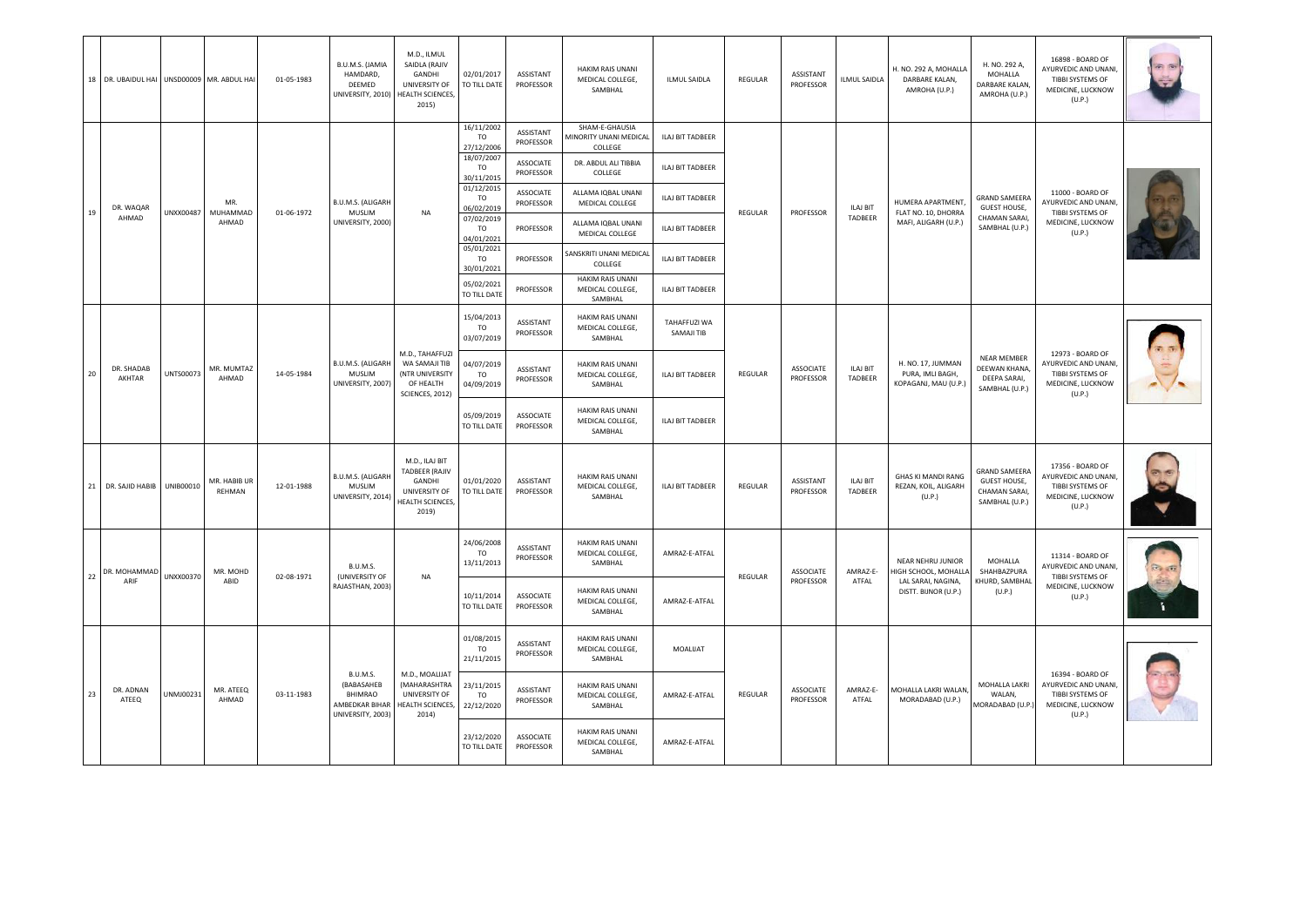|    | 18 DR. UBAIDUL HAI UNSD00009 MR. ABDUL HAI |           |                        | 01-05-1983 | B.U.M.S. (JAMIA<br>HAMDARD,<br>DEEMED<br>UNIVERSITY, 2010)                      | M.D., ILMUL<br>SAIDLA (RAJIV<br>GANDHI<br>UNIVERSITY OF<br>HEALTH SCIENCES,<br>2015)            | 02/01/2017<br>TO TILL DATE                          | ASSISTANT<br>PROFESSOR        | <b>HAKIM RAIS UNANI</b><br>MEDICAL COLLEGE,<br>SAMBHAL     | <b>ILMUL SAIDLA</b>        | REGULAR | ASSISTANT<br>PROFESSOR        | ILMUL SAIDLA               | H. NO. 292 A, MOHALLA<br>DARBARE KALAN,<br>AMROHA (U.P.)      | H. NO. 292 A,<br>MOHALLA<br>DARBARE KALAN,<br>AMROHA (U.P.)                    | 16898 - BOARD OF<br>AYURVEDIC AND UNANI,<br>TIBBI SYSTEMS OF<br>MEDICINE, LUCKNOW<br>(U.P.) |  |
|----|--------------------------------------------|-----------|------------------------|------------|---------------------------------------------------------------------------------|-------------------------------------------------------------------------------------------------|-----------------------------------------------------|-------------------------------|------------------------------------------------------------|----------------------------|---------|-------------------------------|----------------------------|---------------------------------------------------------------|--------------------------------------------------------------------------------|---------------------------------------------------------------------------------------------|--|
|    |                                            |           |                        | 01-06-1972 |                                                                                 |                                                                                                 | 16/11/2002<br><b>TO</b><br>27/12/2006<br>18/07/2007 | ASSISTANT<br>PROFESSOR        | SHAM-E-GHAUSIA<br><b>MINORITY UNANI MEDICAL</b><br>COLLEGE | ILAJ BIT TADBEER           |         |                               |                            |                                                               |                                                                                |                                                                                             |  |
|    |                                            |           |                        |            |                                                                                 |                                                                                                 | TO<br>30/11/2015                                    | ASSOCIATE<br>PROFESSOR        | DR. ABDUL ALI TIBBIA<br>COLLEGE                            | ILAJ BIT TADBEER           |         |                               |                            |                                                               |                                                                                |                                                                                             |  |
| 19 | DR. WAQAR                                  | UNXX00487 | MR.<br>MUHAMMAD        |            | B.U.M.S. (ALIGARH<br><b>MUSLIM</b>                                              | NA                                                                                              | 01/12/2015<br><b>TO</b><br>06/02/2019               | ASSOCIATE<br>PROFESSOR        | ALLAMA IQBAL UNANI<br>MEDICAL COLLEGE                      | ILAJ BIT TADBEER           | REGULAR | PROFESSOR                     | ILAJ BIT                   | HUMERA APARTMENT,<br>FLAT NO. 10, DHORRA                      | <b>GRAND SAMEERA</b><br><b>GUEST HOUSE,</b>                                    | 11000 - BOARD OF<br>AYURVEDIC AND UNANI,<br>TIBBI SYSTEMS OF<br>MEDICINE, LUCKNOW<br>(U.P.) |  |
|    | AHMAD                                      |           | AHMAD                  |            | UNIVERSITY, 2000)                                                               |                                                                                                 | 07/02/2019<br>TO<br>04/01/2021                      | PROFESSOR                     | ALLAMA IQBAL UNANI<br>MEDICAL COLLEGE                      | ILAJ BIT TADBEER           |         |                               | TADBEER                    | MAFI, ALIGARH (U.P.)                                          | <b>CHAMAN SARAI</b><br>SAMBHAL (U.P.)                                          |                                                                                             |  |
|    |                                            |           |                        |            |                                                                                 |                                                                                                 | 05/01/2021<br><b>TO</b><br>30/01/2021               | PROFESSOR                     | SANSKRITI UNANI MEDICAL<br>COLLEGE                         | ILAJ BIT TADBEER           |         |                               |                            |                                                               |                                                                                |                                                                                             |  |
|    |                                            |           |                        |            |                                                                                 |                                                                                                 | 05/02/2021<br>TO TILL DATE                          | PROFESSOR                     | <b>HAKIM RAIS UNANI</b><br>MEDICAL COLLEGE,<br>SAMBHAL     | ILAJ BIT TADBEER           |         |                               |                            |                                                               |                                                                                |                                                                                             |  |
|    |                                            |           |                        |            |                                                                                 |                                                                                                 | 15/04/2013<br><b>TO</b><br>03/07/2019               | ASSISTANT<br>PROFESSOR        | <b>HAKIM RAIS UNANI</b><br>MEDICAL COLLEGE,<br>SAMBHAL     | TAHAFFUZI WA<br>SAMAJI TIB |         |                               |                            |                                                               | <b>NEAR MEMBER</b><br>DEEWAN KHANA,<br>DEEPA SARAI,<br>SAMBHAL (U.P.)          |                                                                                             |  |
| 20 | DR. SHADAB<br>AKHTAR                       | UNTS00073 | MR. MUMTAZ<br>AHMAD    | 14-05-1984 | <b>B.U.M.S. (ALIGARH</b><br>MUSLIM<br>UNIVERSITY, 2007                          | M.D., TAHAFFUZI<br>WA SAMAJI TIB<br>(NTR UNIVERSITY<br>OF HEALTH<br>SCIENCES, 2012)             | 04/07/2019<br><b>TO</b><br>04/09/2019               | <b>ASSISTANT</b><br>PROFESSOR | HAKIM RAIS UNANI<br>MEDICAL COLLEGE,<br>SAMBHAL            | <b>ILAJ BIT TADBEER</b>    | REGULAR | <b>ASSOCIATE</b><br>PROFESSOR | ILAJ BIT<br>TADBEER        | H. NO. 17, JUMMAN<br>PURA, IMLI BAGH,<br>KOPAGANJ, MAU (U.P.) |                                                                                | 12973 - BOARD OF<br>AYURVEDIC AND UNANI,<br>TIBBI SYSTEMS OF<br>MEDICINE, LUCKNOW<br>(U.P.) |  |
|    |                                            |           |                        |            |                                                                                 |                                                                                                 | 05/09/2019<br>TO TILL DATE                          | ASSOCIATE<br>PROFESSOR        | <b>HAKIM RAIS UNANI</b><br>MEDICAL COLLEGE,<br>SAMBHAL     | ILAJ BIT TADBEER           |         |                               |                            |                                                               |                                                                                |                                                                                             |  |
|    | 21 DR. SAJID HABIB                         | UNIB00010 | MR. HABIB UR<br>REHMAN | 12-01-1988 | <b>B.U.M.S. (ALIGARH</b><br>MUSLIM<br>UNIVERSITY, 2014                          | M.D., ILAJ BIT<br><b>TADBEER (RAJIV</b><br>GANDHI<br>UNIVERSITY OF<br>HEALTH SCIENCES,<br>2019) | 01/01/2020<br>TO TILL DATE                          | ASSISTANT<br>PROFESSOR        | <b>HAKIM RAIS UNANI</b><br>MEDICAL COLLEGE,<br>SAMBHAL     | ILAJ BIT TADBEER           | REGULAR | ASSISTANT<br>PROFESSOR        | <b>ILAJ BIT</b><br>TADBEER | <b>GHAS KI MANDI RANG</b><br>REZAN, KOIL, ALIGARH<br>(U.P.)   | <b>GRAND SAMEERA</b><br><b>GUEST HOUSE,</b><br>CHAMAN SARAI,<br>SAMBHAL (U.P.) | 17356 - BOARD OF<br>AYURVEDIC AND UNANI,<br>TIBBI SYSTEMS OF<br>MEDICINE, LUCKNOW<br>(U.P.) |  |
|    | DR. MOHAMMAI                               | UNXX00370 | MR. MOHD               |            | <b>B.U.M.S.</b><br>(UNIVERSITY OF                                               |                                                                                                 | 24/06/2008<br>TO<br>13/11/2013                      | ASSISTANT<br>PROFESSOR        | <b>HAKIM RAIS UNANI</b><br>MEDICAL COLLEGE,<br>SAMBHAL     | AMRAZ-E-ATFAL              |         | ASSOCIATE                     | AMRAZ-E-                   | NEAR NEHRU JUNIOR<br><b>IIGH SCHOOL, MOHALLA</b>              | MOHALLA<br>SHAHBAZPURA                                                         | 11314 - BOARD OF<br>AYURVEDIC AND UNANI.<br>TIBBI SYSTEMS OF                                |  |
| 22 | <b>ARIF</b>                                |           | ABID                   | 02-08-1971 | RAJASTHAN, 2003)                                                                | NA                                                                                              | 10/11/2014<br>TO TILL DATE                          | ASSOCIATE<br>PROFESSOR        | <b>HAKIM RAIS UNANI</b><br>MEDICAL COLLEGE,<br>SAMBHAL     | AMRAZ-E-ATFAL              | REGULAR | PROFESSOR                     | ATFAL                      | LAL SARAI, NAGINA,<br>DISTT. BIJNOR (U.P.)                    | KHURD, SAMBHAL<br>(U.P.)                                                       | MEDICINE, LUCKNOW<br>(U.P.)                                                                 |  |
|    |                                            |           |                        |            |                                                                                 |                                                                                                 | 01/08/2015<br><b>TO</b><br>21/11/2015               | ASSISTANT<br>PROFESSOR        | <b>HAKIM RAIS UNANI</b><br>MEDICAL COLLEGE,<br>SAMBHAL     | MOALUAT                    |         |                               |                            |                                                               |                                                                                |                                                                                             |  |
| 23 | DR. ADNAN<br>ATEEQ                         | UNMJ00231 | MR. ATEEQ<br>AHMAD     | 03-11-1983 | <b>B.U.M.S.</b><br>(BABASAHEB<br>BHIMRAO<br>AMBEDKAR BIHAR<br>UNIVERSITY, 2003) | M.D., MOALIJAT<br>(MAHARASHTRA<br>UNIVERSITY OF<br>HEALTH SCIENCES,<br>2014)                    | 23/11/2015<br>T <sub>0</sub><br>22/12/2020          | ASSISTANT<br>PROFESSOR        | <b>HAKIM RAIS UNANI</b><br>MEDICAL COLLEGE,<br>SAMBHAL     | AMRAZ-E-ATFAL              | REGULAR | ASSOCIATE<br>PROFESSOR        | AMRAZ-E-<br>ATFAL          | MOHALLA LAKRI WALAN<br>MORADABAD (U.P.)                       | MOHALLA LAKRI<br>WALAN,<br>MORADABAD (U.P.)                                    | 16394 - BOARD OF<br>AYURVEDIC AND UNANI,<br>TIBBI SYSTEMS OF<br>MEDICINE, LUCKNOW<br>(U.P.) |  |
|    |                                            |           |                        |            |                                                                                 |                                                                                                 | 23/12/2020<br>TO TILL DATE                          | ASSOCIATE<br>PROFESSOR        | <b>HAKIM RAIS UNANI</b><br>MEDICAL COLLEGE,<br>SAMBHAL     | AMRAZ-E-ATFAL              |         |                               |                            |                                                               |                                                                                |                                                                                             |  |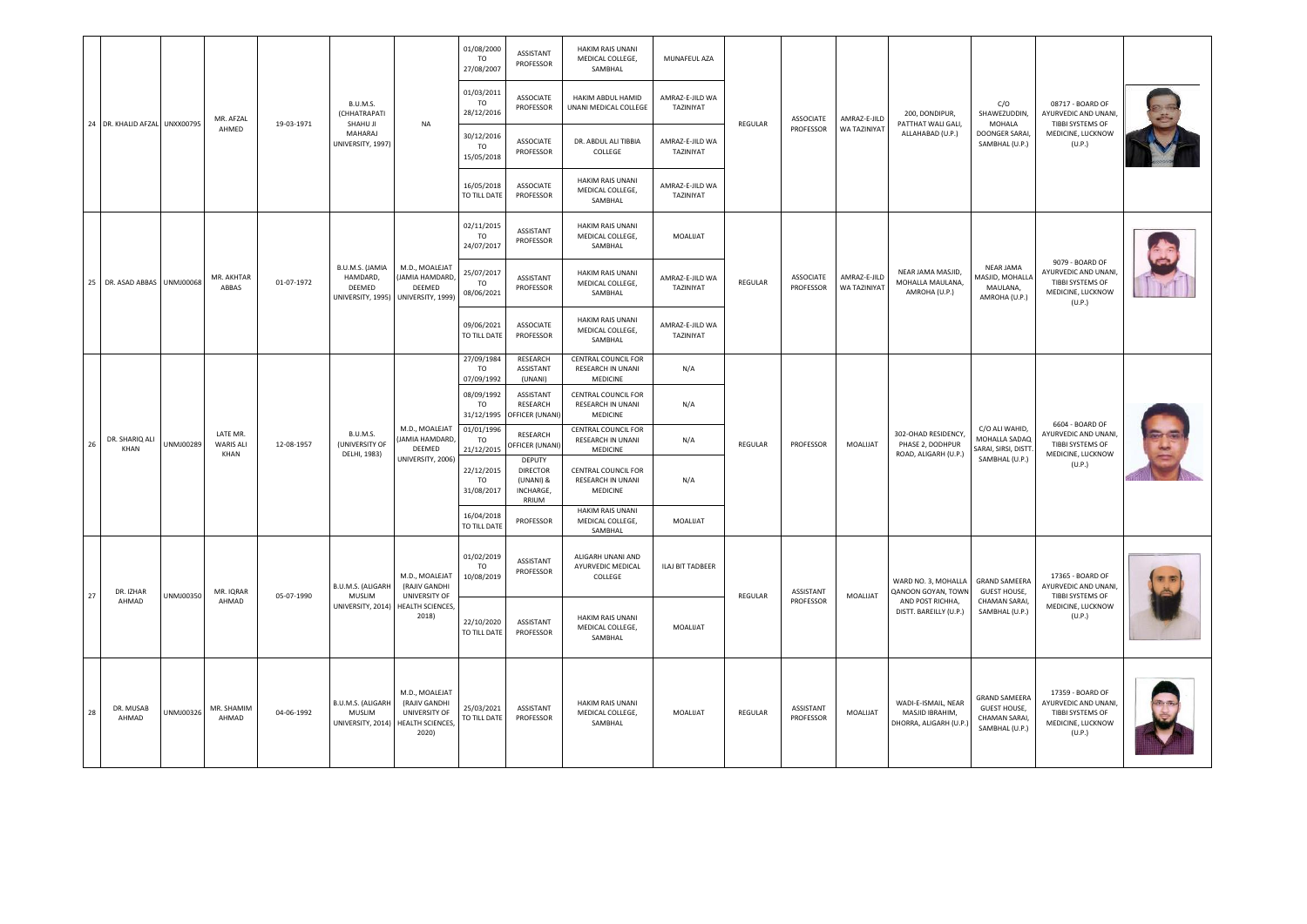|    |                               |           |                               |            | B.U.M.S.                                                        |                                                                                                 | 01/08/2000<br>TO<br>27/08/2007<br>01/03/2011<br>TO  | ASSISTANT<br>PROFESSOR<br><b>ASSOCIATE</b>                   | <b>HAKIM RAIS UNANI</b><br>MEDICAL COLLEGE,<br>SAMBHAL<br>HAKIM ABDUL HAMID | MUNAFEUL AZA<br>AMRAZ-E-JILD WA           | REGULAR |                               |                              |                                                                  | C/O                                                                            | 08717 - BOARD OF                                                                            |  |
|----|-------------------------------|-----------|-------------------------------|------------|-----------------------------------------------------------------|-------------------------------------------------------------------------------------------------|-----------------------------------------------------|--------------------------------------------------------------|-----------------------------------------------------------------------------|-------------------------------------------|---------|-------------------------------|------------------------------|------------------------------------------------------------------|--------------------------------------------------------------------------------|---------------------------------------------------------------------------------------------|--|
|    | 24 DR. KHALID AFZAL UNXX00795 |           | MR. AFZAL<br>AHMED            | 19-03-1971 | <b>(CHHATRAPATI</b><br>SHAHU JI<br>MAHARAJ<br>UNIVERSITY, 1997) | <b>NA</b>                                                                                       | 28/12/2016<br>30/12/2016<br><b>TO</b><br>15/05/2018 | PROFESSOR<br><b>ASSOCIATE</b><br>PROFESSOR                   | UNANI MEDICAL COLLEGE<br>DR. ABDUL ALI TIBBIA<br>COLLEGE                    | TAZINIYAT<br>AMRAZ-E-JILD WA<br>TAZINIYAT |         | <b>ASSOCIATE</b><br>PROFESSOR | AMRAZ-E-JILD<br>WA TAZINIYAT | 200. DONDIPUR.<br>PATTHAT WALI GALI,<br>ALLAHABAD (U.P.)         | SHAWEZUDDIN,<br>MOHALA<br>DOONGER SARAI,<br>SAMBHAL (U.P.)                     | AYURVEDIC AND UNANI.<br>TIBBI SYSTEMS OF<br>MEDICINE, LUCKNOW<br>(U.P.)                     |  |
|    |                               |           |                               |            |                                                                 |                                                                                                 | 16/05/2018<br>TO TILL DATE                          | ASSOCIATE<br>PROFESSOR                                       | HAKIM RAIS UNANI<br>MEDICAL COLLEGE,<br>SAMBHAL                             | AMRAZ-E-JILD WA<br>TAZINIYAT              |         |                               |                              |                                                                  |                                                                                |                                                                                             |  |
|    | 25 DR. ASAD ABBAS UNMJ00068   |           |                               |            |                                                                 |                                                                                                 | 02/11/2015<br>TO.<br>24/07/2017                     | ASSISTANT<br>PROFESSOR                                       | HAKIM RAIS UNANI<br>MEDICAL COLLEGE,<br>SAMBHAL                             | MOALIJAT                                  |         |                               |                              |                                                                  |                                                                                |                                                                                             |  |
|    |                               |           | MR. AKHTAR<br>ABBAS           | 01-07-1972 | B.U.M.S. (JAMIA<br>HAMDARD,<br>DEEMED                           | M.D., MOALEJAT<br>(JAMIA HAMDARD,<br>DEEMED<br>UNIVERSITY, 1995) UNIVERSITY, 1999)              | 25/07/2017<br><b>TO</b><br>08/06/2021               | ASSISTANT<br>PROFESSOR                                       | <b>HAKIM RAIS UNANI</b><br>MEDICAL COLLEGE,<br>SAMBHAL                      | AMRAZ-E-JILD WA<br>TAZINIYAT              | REGULAR | ASSOCIATE<br>PROFESSOR        | AMRAZ-E-JILD<br>WA TAZINIYAT | NEAR JAMA MASJID,<br>MOHALLA MAULANA,<br>AMROHA (U.P.)           | NEAR JAMA<br>AASJID, MOHALLA<br>MAULANA,<br>AMROHA (U.P.)                      | 9079 - BOARD OF<br>AYURVEDIC AND UNANI<br>TIBBI SYSTEMS OF<br>MEDICINE, LUCKNOW<br>(U.P.)   |  |
|    |                               |           |                               |            |                                                                 |                                                                                                 | 09/06/2021<br>TO TILL DATE                          | ASSOCIATE<br>PROFESSOR                                       | <b>HAKIM RAIS UNANI</b><br>MEDICAL COLLEGE,<br>SAMBHAL                      | AMRAZ-E-JILD WA<br>TAZINIYAT              |         |                               |                              |                                                                  |                                                                                |                                                                                             |  |
|    |                               |           |                               |            |                                                                 |                                                                                                 | 27/09/1984<br>TO.<br>07/09/1992                     | <b>RESEARCH</b><br>ASSISTANT<br>(UNANI)                      | CENTRAL COUNCIL FOR<br>RESEARCH IN UNANI<br>MEDICINE                        | N/A                                       |         |                               |                              |                                                                  |                                                                                |                                                                                             |  |
|    |                               |           |                               |            |                                                                 |                                                                                                 | 08/09/1992<br>TO<br>31/12/1995                      | ASSISTANT<br>RESEARCH<br>OFFICER (UNANI)                     | <b>CENTRAL COUNCIL FOR</b><br>RESEARCH IN UNANI<br>MEDICINE                 | N/A                                       |         |                               |                              | 302-OHAD RESIDENCY,<br>PHASE 2. DODHPUR<br>ROAD, ALIGARH (U.P.)  |                                                                                |                                                                                             |  |
| 26 | DR. SHARIQ ALI<br>KHAN        | UNMJ00289 | LATE MR.<br>WARIS ALI<br>KHAN | 12-08-1957 | B.U.M.S.<br>(UNIVERSITY OF<br>DELHI, 1983)                      | M.D., MOALEJAT<br><b>JAMIA HAMDARD</b><br>DEEMED                                                | 01/01/1996<br><b>TO</b><br>21/12/2015               | RESEARCH<br>OFFICER (UNANI)                                  | CENTRAL COUNCIL FOR<br>RESEARCH IN UNANI<br>MEDICINE                        | N/A                                       | REGULAR | PROFESSOR                     | MOALUAT                      |                                                                  | C/O ALI WAHID,<br>MOHALLA SADAQ<br>SARAI, SIRSI, DISTT.                        | 6604 - BOARD OF<br>AYURVEDIC AND UNANI<br>TIBBI SYSTEMS OF<br>MEDICINE, LUCKNOW             |  |
|    |                               |           |                               |            |                                                                 | UNIVERSITY, 2006)                                                                               | 22/12/2015<br><b>TO</b><br>31/08/2017               | DEPUTY<br><b>DIRECTOR</b><br>(UNANI) &<br>INCHARGE,<br>RRIUM | CENTRAL COUNCIL FOR<br><b>RESEARCH IN UNANI</b><br>MEDICINE                 | N/A                                       |         |                               |                              |                                                                  | SAMBHAL (U.P.)                                                                 | (U.P.)                                                                                      |  |
|    |                               |           |                               |            |                                                                 |                                                                                                 | 16/04/2018<br>TO TILL DATI                          | PROFESSOR                                                    | <b>HAKIM RAIS UNANI</b><br>MEDICAL COLLEGE,<br>SAMBHAL                      | MOALIJAT                                  |         |                               |                              |                                                                  |                                                                                |                                                                                             |  |
|    | DR. IZHAR                     |           | MR. IQRAR                     |            | B.U.M.S. (ALIGARH                                               | M.D., MOALEJAT<br>(RAJIV GANDHI                                                                 | 01/02/2019<br><b>TO</b><br>10/08/2019               | ASSISTANT<br>PROFESSOR                                       | ALIGARH UNANI AND<br>AYURVEDIC MEDICAL<br>COLLEGE                           | ILAJ BIT TADBEER                          |         | ASSISTANT                     |                              | WARD NO. 3, MOHALLA<br>QANOON GOYAN, TOWN                        | <b>GRAND SAMEERA</b><br><b>GUEST HOUSE,</b>                                    | 17365 - BOARD OF<br>AYURVEDIC AND UNANI                                                     |  |
| 27 | AHMAD                         | UNMJ00350 | AHMAD                         | 05-07-1990 | MUSLIM                                                          | UNIVERSITY OF<br>UNIVERSITY, 2014) HEALTH SCIENCES,<br>2018)                                    | 22/10/2020<br>TO TILL DATE                          | ASSISTANT<br>PROFESSOR                                       | HAKIM RAIS UNANI<br>MEDICAL COLLEGE,<br>SAMBHAL                             | MOALIJAT                                  | REGULAR | PROFESSOR                     | MOALIJAT                     | AND POST RICHHA,<br>DISTT. BAREILLY (U.P.)                       | <b>CHAMAN SARAI,</b><br>SAMBHAL (U.P.)                                         | TIBBI SYSTEMS OF<br>MEDICINE, LUCKNOW<br>(U.P.)                                             |  |
| 28 | DR. MUSAB<br>AHMAD            | UNMJ00326 | MR. SHAMIM<br>AHMAD           | 04-06-1992 | B.U.M.S. (ALIGARH<br><b>MUSLIM</b>                              | M.D., MOALEJAT<br>(RAJIV GANDHI<br>UNIVERSITY OF<br>UNIVERSITY, 2014) HEALTH SCIENCES,<br>2020) | 25/03/2021<br>TO TILL DATE                          | ASSISTANT<br>PROFESSOR                                       | <b>HAKIM RAIS UNANI</b><br>MEDICAL COLLEGE,<br>SAMBHAL                      | MOALIJAT                                  | REGULAR | ASSISTANT<br>PROFESSOR        | MOALIJAT                     | WADI-E-ISMAIL, NEAR<br>MASJID IBRAHIM,<br>DHORRA, ALIGARH (U.P.) | <b>GRAND SAMEERA</b><br><b>GUEST HOUSE,</b><br>CHAMAN SARAI,<br>SAMBHAL (U.P.) | 17359 - BOARD OF<br>AYURVEDIC AND UNANI,<br>TIBBI SYSTEMS OF<br>MEDICINE, LUCKNOW<br>(U.P.) |  |
|    |                               |           |                               |            |                                                                 |                                                                                                 |                                                     |                                                              |                                                                             |                                           |         |                               |                              |                                                                  |                                                                                |                                                                                             |  |